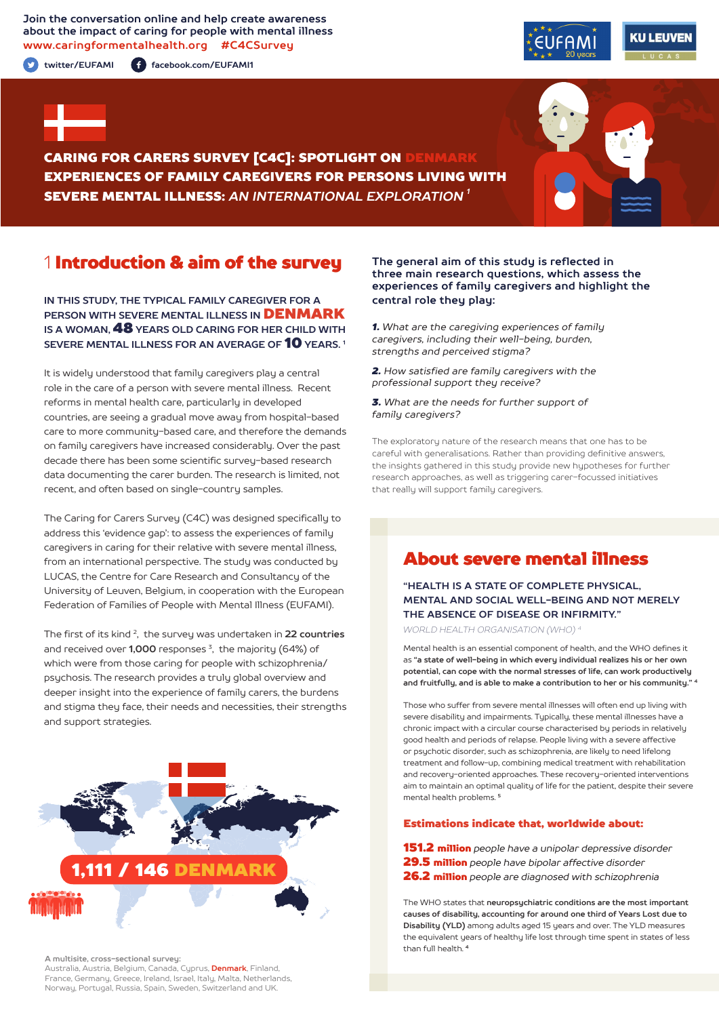### **Join the conversation online and help create awareness about the impact of caring for people with mental illness www.caringformentalhealth.org #C4CSurvey**

**twitter/EUFAMI facebook.com/EUFAMI1**





CARING FOR CARERS SURVEY [C4C]: SPOTLIGHT ON DENMARK EXPERIENCES OF FAMILY CAREGIVERS FOR PERSONS LIVING WITH SEVERE MENTAL ILLNESS: *AN INTERNATIONAL EXPLORATION 1*

# 1 Introduction & aim of the survey

**IN THIS STUDY, THE TYPICAL FAMILY CAREGIVER FOR A PERSON WITH SEVERE MENTAL ILLNESS IN** DENMARK **IS A WOMAN,** 48 **YEARS OLD CARING FOR HER CHILD WITH SEVERE MENTAL ILLNESS FOR AN AVERAGE OF** 10 **YEARS. 1**

It is widely understood that family caregivers play a central role in the care of a person with severe mental illness. Recent reforms in mental health care, particularly in developed countries, are seeing a gradual move away from hospital-based care to more community-based care, and therefore the demands on family caregivers have increased considerably. Over the past decade there has been some scientific survey-based research data documenting the carer burden. The research is limited, not recent, and often based on single-country samples.

The Caring for Carers Survey (C4C) was designed specifically to address this 'evidence gap': to assess the experiences of family caregivers in caring for their relative with severe mental illness, from an international perspective. The study was conducted by LUCAS, the Centre for Care Research and Consultancy of the University of Leuven, Belgium, in cooperation with the European Federation of Families of People with Mental Illness (EUFAMI).

The first of its kind 2, the survey was undertaken in **22 countries** and received over **1,000** responses 3, the majority (64%) of which were from those caring for people with schizophrenia/ psychosis. The research provides a truly global overview and deeper insight into the experience of family carers, the burdens and stigma they face, their needs and necessities, their strengths and support strategies.



**A multisite, cross-sectional survey:** 

Australia, Austria, Belgium, Canada, Cyprus, **Denmark**, Finland, France, Germany, Greece, Ireland, Israel, Italy, Malta, Netherlands, Norway, Portugal, Russia, Spain, Sweden, Switzerland and UK.

#### **The general aim of this study is reflected in three main research questions, which assess the experiences of family caregivers and highlight the central role they play:**

*1. What are the caregiving experiences of family caregivers, including their well-being, burden, strengths and perceived stigma?*

*2. How satisfied are family caregivers with the professional support they receive?*

*3. What are the needs for further support of family caregivers?*

The exploratory nature of the research means that one has to be careful with generalisations. Rather than providing definitive answers, the insights gathered in this study provide new hypotheses for further research approaches, as well as triggering carer-focussed initiatives that really will support family caregivers.

# About severe mental illness

**"HEALTH IS A STATE OF COMPLETE PHYSICAL, MENTAL AND SOCIAL WELL-BEING AND NOT MERELY THE ABSENCE OF DISEASE OR INFIRMITY."**

*WORLD HEALTH ORGANISATION (WHO) 4*

Mental health is an essential component of health, and the WHO defines it as **"a state of well-being in which every individual realizes his or her own potential, can cope with the normal stresses of life, can work productively and fruitfully, and is able to make a contribution to her or his community." <sup>4</sup>**

Those who suffer from severe mental illnesses will often end up living with severe disability and impairments. Typically, these mental illnesses have a chronic impact with a circular course characterised by periods in relatively good health and periods of relapse. People living with a severe affective or psychotic disorder, such as schizophrenia, are likely to need lifelong treatment and follow-up, combining medical treatment with rehabilitation and recovery-oriented approaches. These recovery-oriented interventions aim to maintain an optimal quality of life for the patient, despite their severe mental health problems. **<sup>5</sup>**

#### Estimations indicate that, worldwide about:

151.2 million *people have a unipolar depressive disorder* 29.5 million *people have bipolar affective disorder*  26.2 million *people are diagnosed with schizophrenia*

The WHO states that **neuropsychiatric conditions are the most important causes of disability, accounting for around one third of Years Lost due to Disability (YLD)** among adults aged 15 years and over. The YLD measures the equivalent years of healthy life lost through time spent in states of less than full health. **<sup>4</sup>**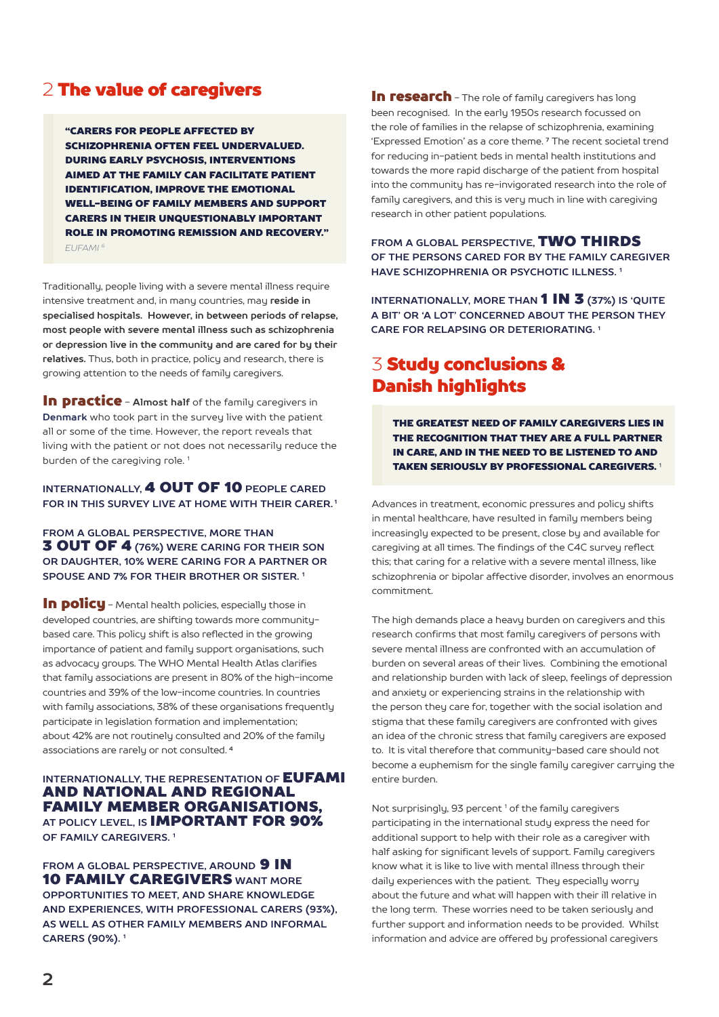# 2 The value of caregivers

"CARERS FOR PEOPLE AFFECTED BY SCHIZOPHRENIA OFTEN FEEL UNDERVALUED. DURING EARLY PSYCHOSIS, INTERVENTIONS AIMED AT THE FAMILY CAN FACILITATE PATIENT IDENTIFICATION, IMPROVE THE EMOTIONAL WELL-BEING OF FAMILY MEMBERS AND SUPPORT CARERS IN THEIR UNQUESTIONABLY IMPORTANT ROLE IN PROMOTING REMISSION AND RECOVERY." *EUFAMI 6*

Traditionally, people living with a severe mental illness require intensive treatment and, in many countries, may **reside in specialised hospitals. However, in between periods of relapse, most people with severe mental illness such as schizophrenia or depression live in the community and are cared for by their relatives.** Thus, both in practice, policy and research, there is growing attention to the needs of family caregivers.

**In practice** - Almost half of the family caregivers in **Denmark** who took part in the survey live with the patient all or some of the time. However, the report reveals that living with the patient or not does not necessarily reduce the burden of the caregiving role.<sup>1</sup>

### **INTERNATIONALLY,** 4 OUT OF 10 **PEOPLE CARED FOR IN THIS SURVEY LIVE AT HOME WITH THEIR CARER. 1**

### **FROM A GLOBAL PERSPECTIVE, MORE THAN** 3 OUT OF 4 **(76%) WERE CARING FOR THEIR SON OR DAUGHTER, 10% WERE CARING FOR A PARTNER OR SPOUSE AND 7% FOR THEIR BROTHER OR SISTER. 1**

In policu - Mental health policies, especially those in developed countries, are shifting towards more communitybased care. This policy shift is also reflected in the growing importance of patient and family support organisations, such as advocacy groups. The WHO Mental Health Atlas clarifies that family associations are present in 80% of the high-income countries and 39% of the low-income countries. In countries with family associations, 38% of these organisations frequently participate in legislation formation and implementation; about 42% are not routinely consulted and 20% of the family associations are rarely or not consulted. **<sup>4</sup>**

### **INTERNATIONALLY, THE REPRESENTATION OF EUFAMI** AND NATIONAL AND REGIONAL FAMILY MEMBER ORGANISATIONS, **AT POLICY LEVEL, IS** IMPORTANT FOR 90% **OF FAMILY CAREGIVERS. 1**

**FROM A GLOBAL PERSPECTIVE, AROUND 9 IN** 10 FAMILY CAREGIVERS **WANT MORE OPPORTUNITIES TO MEET, AND SHARE KNOWLEDGE AND EXPERIENCES, WITH PROFESSIONAL CARERS (93%), AS WELL AS OTHER FAMILY MEMBERS AND INFORMAL CARERS (90%). 1**

In research - The role of family caregivers has long been recognised. In the early 1950s research focussed on the role of families in the relapse of schizophrenia, examining 'Expressed Emotion' as a core theme. **7** The recent societal trend for reducing in-patient beds in mental health institutions and towards the more rapid discharge of the patient from hospital into the community has re-invigorated research into the role of family caregivers, and this is very much in line with caregiving research in other patient populations.

**FROM A GLOBAL PERSPECTIVE,** TWO THIRDS **OF THE PERSONS CARED FOR BY THE FAMILY CAREGIVER HAVE SCHIZOPHRENIA OR PSYCHOTIC ILLNESS. 1**

**INTERNATIONALLY, MORE THAN 1 IN 3 (37%) IS 'QUITE A BIT' OR 'A LOT' CONCERNED ABOUT THE PERSON THEY CARE FOR RELAPSING OR DETERIORATING. 1**

# 3 Study conclusions & Danish highlights

THE GREATEST NEED OF FAMILY CAREGIVERS LIES IN THE RECOGNITION THAT THEY ARE A FULL PARTNER IN CARE, AND IN THE NEED TO BE LISTENED TO AND TAKEN SERIOUSLY BY PROFESSIONAL CAREGIVERS. <sup>1</sup>

Advances in treatment, economic pressures and policy shifts in mental healthcare, have resulted in family members being increasingly expected to be present, close by and available for caregiving at all times. The findings of the C4C survey reflect this; that caring for a relative with a severe mental illness, like schizophrenia or bipolar affective disorder, involves an enormous commitment.

The high demands place a heavy burden on caregivers and this research confirms that most family caregivers of persons with severe mental illness are confronted with an accumulation of burden on several areas of their lives. Combining the emotional and relationship burden with lack of sleep, feelings of depression and anxiety or experiencing strains in the relationship with the person they care for, together with the social isolation and stigma that these family caregivers are confronted with gives an idea of the chronic stress that family caregivers are exposed to. It is vital therefore that community-based care should not become a euphemism for the single family caregiver carrying the entire burden.

Not surprisingly, 93 percent<sup>1</sup> of the family caregivers participating in the international study express the need for additional support to help with their role as a caregiver with half asking for significant levels of support. Family caregivers know what it is like to live with mental illness through their daily experiences with the patient. They especially worry about the future and what will happen with their ill relative in the long term. These worries need to be taken seriously and further support and information needs to be provided. Whilst information and advice are offered by professional caregivers